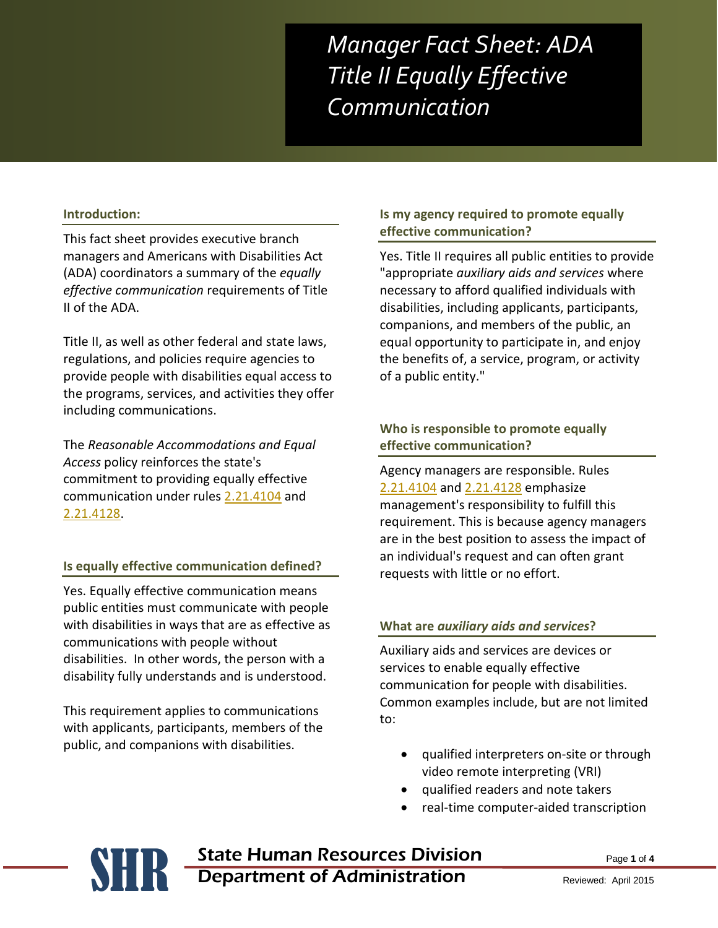*Manager Fact Sheet: ADA Title II Equally Effective Communication* 

#### **Introduction:**

This fact sheet provides executive branch managers and Americans with Disabilities Act (ADA) coordinators a summary of the *equally effective communication* requirements of Title II of the ADA.

Title II, as well as other federal and state laws, regulations, and policies require agencies to provide people with disabilities equal access to the programs, services, and activities they offer including communications.

The *Reasonable Accommodations and Equal Access* policy reinforces the state's commitment to providing equally effective communication under rules [2.21.4104](http://www.mtrules.org/gateway/RuleNo.asp?RN=2%2E21%2E4104) and [2.21.4128.](http://www.mtrules.org/gateway/ruleno.asp?RN=2%2E21%2E4128)

#### **Is equally effective communication defined?**

Yes. Equally effective communication means public entities must communicate with people with disabilities in ways that are as effective as communications with people without disabilities. In other words, the person with a disability fully understands and is understood.

This requirement applies to communications with applicants, participants, members of the public, and companions with disabilities.

#### **Is my agency required to promote equally effective communication?**

Yes. Title II requires all public entities to provide "appropriate *auxiliary aids and services* where necessary to afford qualified individuals with disabilities, including applicants, participants, companions, and members of the public, an equal opportunity to participate in, and enjoy the benefits of, a service, program, or activity of a public entity."

## **Who is responsible to promote equally effective communication?**

Agency managers are responsible. Rules [2.21.4104](http://www.mtrules.org/gateway/RuleNo.asp?RN=2%2E21%2E4104) and [2.21.4128](http://www.mtrules.org/gateway/ruleno.asp?RN=2%2E21%2E4128) emphasize management's responsibility to fulfill this requirement. This is because agency managers are in the best position to assess the impact of an individual's request and can often grant requests with little or no effort.

#### **What are** *auxiliary aids and services***?**

Auxiliary aids and services are devices or services to enable equally effective communication for people with disabilities. Common examples include, but are not limited to:

- qualified interpreters on-site or through video remote interpreting (VRI)
- qualified readers and note takers
- real-time computer-aided transcription

# **SHR** State Human Resources Division<br>Department of Administration Department of Administration

Page **1** of **4**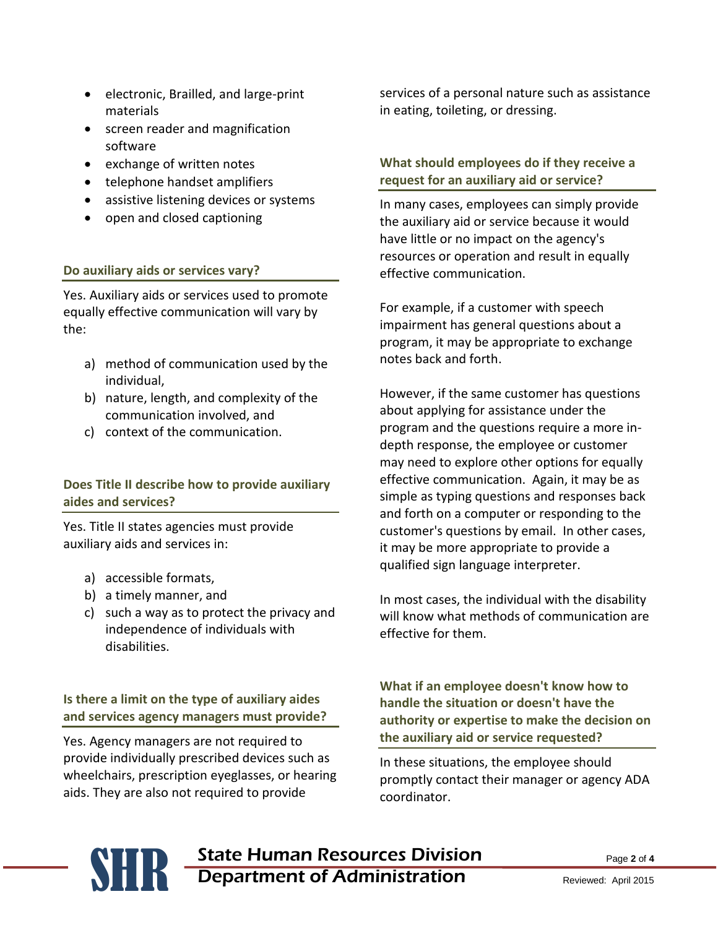- electronic, Brailled, and large-print materials
- screen reader and magnification software
- exchange of written notes
- telephone handset amplifiers
- assistive listening devices or systems
- open and closed captioning

### **Do auxiliary aids or services vary?**

Yes. Auxiliary aids or services used to promote equally effective communication will vary by the:

- a) method of communication used by the individual,
- b) nature, length, and complexity of the communication involved, and
- c) context of the communication.

# **Does Title II describe how to provide auxiliary aides and services?**

Yes. Title II states agencies must provide auxiliary aids and services in:

- a) accessible formats,
- b) a timely manner, and
- c) such a way as to protect the privacy and independence of individuals with disabilities.

**Is there a limit on the type of auxiliary aides and services agency managers must provide?** 

Yes. Agency managers are not required to provide individually prescribed devices such as wheelchairs, prescription eyeglasses, or hearing aids. They are also not required to provide

services of a personal nature such as assistance in eating, toileting, or dressing.

# **What should employees do if they receive a request for an auxiliary aid or service?**

In many cases, employees can simply provide the auxiliary aid or service because it would have little or no impact on the agency's resources or operation and result in equally effective communication.

For example, if a customer with speech impairment has general questions about a program, it may be appropriate to exchange notes back and forth.

However, if the same customer has questions about applying for assistance under the program and the questions require a more indepth response, the employee or customer may need to explore other options for equally effective communication. Again, it may be as simple as typing questions and responses back and forth on a computer or responding to the customer's questions by email. In other cases, it may be more appropriate to provide a qualified sign language interpreter.

In most cases, the individual with the disability will know what methods of communication are effective for them.

**What if an employee doesn't know how to handle the situation or doesn't have the authority or expertise to make the decision on the auxiliary aid or service requested?**

In these situations, the employee should promptly contact their manager or agency ADA coordinator.

# **State Human Resources Division** Department of Administration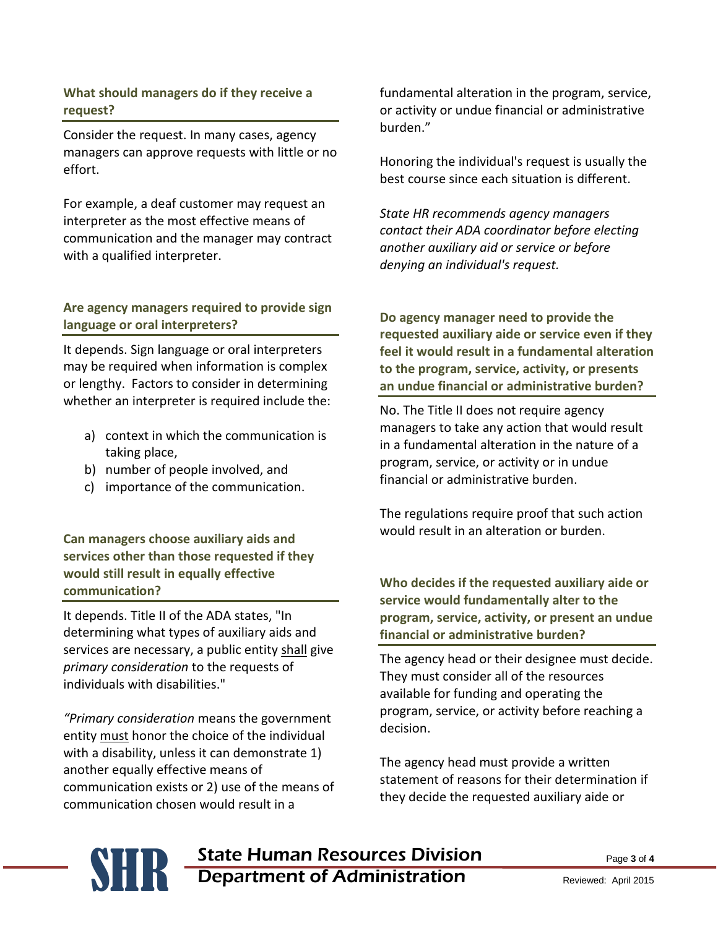## **What should managers do if they receive a request?**

Consider the request. In many cases, agency managers can approve requests with little or no effort.

For example, a deaf customer may request an interpreter as the most effective means of communication and the manager may contract with a qualified interpreter.

# **Are agency managers required to provide sign language or oral interpreters?**

It depends. Sign language or oral interpreters may be required when information is complex or lengthy. Factors to consider in determining whether an interpreter is required include the:

- a) context in which the communication is taking place,
- b) number of people involved, and
- c) importance of the communication.

**Can managers choose auxiliary aids and services other than those requested if they would still result in equally effective communication?**

It depends. Title II of the ADA states, "In determining what types of auxiliary aids and services are necessary, a public entity shall give *primary consideration* to the requests of individuals with disabilities."

*"Primary consideration* means the government entity must honor the choice of the individual with a disability, unless it can demonstrate 1) another equally effective means of communication exists or 2) use of the means of communication chosen would result in a

fundamental alteration in the program, service, or activity or undue financial or administrative burden."

Honoring the individual's request is usually the best course since each situation is different.

*State HR recommends agency managers contact their ADA coordinator before electing another auxiliary aid or service or before denying an individual's request.*

**Do agency manager need to provide the requested auxiliary aide or service even if they feel it would result in a fundamental alteration to the program, service, activity, or presents an undue financial or administrative burden?**

No. The Title II does not require agency managers to take any action that would result in a fundamental alteration in the nature of a program, service, or activity or in undue financial or administrative burden.

The regulations require proof that such action would result in an alteration or burden.

**Who decides if the requested auxiliary aide or service would fundamentally alter to the program, service, activity, or present an undue financial or administrative burden?**

The agency head or their designee must decide. They must consider all of the resources available for funding and operating the program, service, or activity before reaching a decision.

The agency head must provide a written statement of reasons for their determination if they decide the requested auxiliary aide or

# **SHR** State Human Resources Division<br>Department of Administration Department of Administration